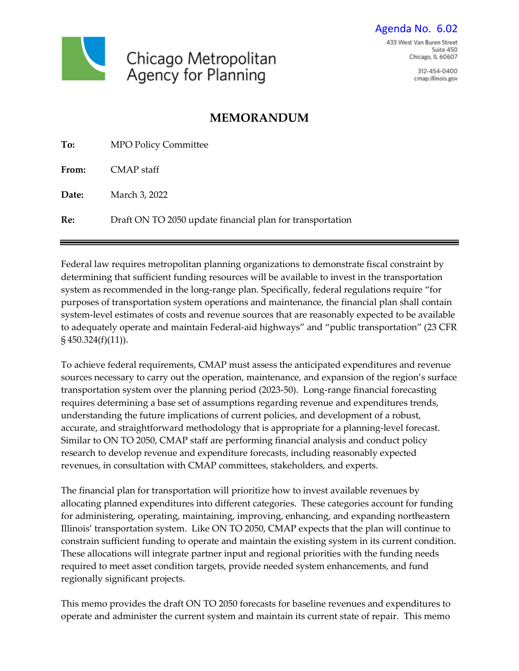

312-454-0400 cmap.illinois.gov

# **MEMORANDUM**

| To:          | <b>MPO Policy Committee</b>                               |
|--------------|-----------------------------------------------------------|
| <b>From:</b> | CMAP staff                                                |
| Date:        | March 3, 2022                                             |
| Re:          | Draft ON TO 2050 update financial plan for transportation |

Federal law requires metropolitan planning organizations to demonstrate fiscal constraint by determining that sufficient funding resources will be available to invest in the transportation system as recommended in the long-range plan. Specifically, federal regulations require "for purposes of transportation system operations and maintenance, the financial plan shall contain system-level estimates of costs and revenue sources that are reasonably expected to be available to adequately operate and maintain Federal-aid highways" and "public transportation" (23 CFR § 450.324(f)(11)).

To achieve federal requirements, CMAP must assess the anticipated expenditures and revenue sources necessary to carry out the operation, maintenance, and expansion of the region's surface transportation system over the planning period (2023-50). Long-range financial forecasting requires determining a base set of assumptions regarding revenue and expenditures trends, understanding the future implications of current policies, and development of a robust, accurate, and straightforward methodology that is appropriate for a planning-level forecast. Similar to ON TO 2050, CMAP staff are performing financial analysis and conduct policy research to develop revenue and expenditure forecasts, including reasonably expected revenues, in consultation with CMAP committees, stakeholders, and experts.

The financial plan for transportation will prioritize how to invest available revenues by allocating planned expenditures into different categories. These categories account for funding for administering, operating, maintaining, improving, enhancing, and expanding northeastern Illinois' transportation system. Like ON TO 2050, CMAP expects that the plan will continue to constrain sufficient funding to operate and maintain the existing system in its current condition. These allocations will integrate partner input and regional priorities with the funding needs required to meet asset condition targets, provide needed system enhancements, and fund regionally significant projects.

This memo provides the draft ON TO 2050 forecasts for baseline revenues and expenditures to operate and administer the current system and maintain its current state of repair. This memo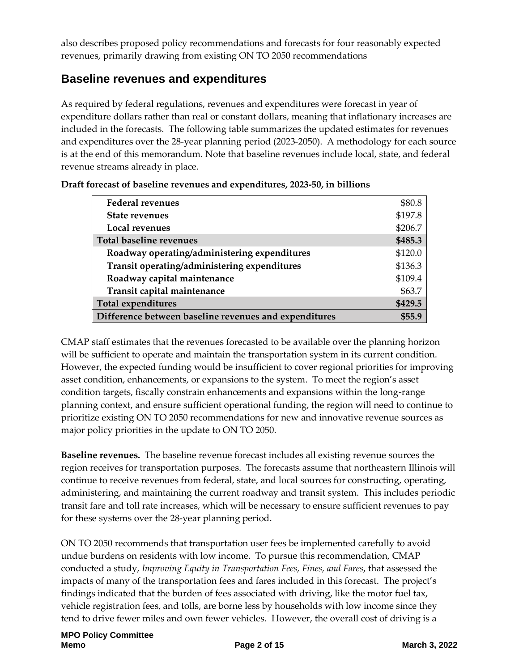also describes proposed policy recommendations and forecasts for four reasonably expected revenues, primarily drawing from existing ON TO 2050 recommendations

## **Baseline revenues and expenditures**

As required by federal regulations, revenues and expenditures were forecast in year of expenditure dollars rather than real or constant dollars, meaning that inflationary increases are included in the forecasts. The following table summarizes the updated estimates for revenues and expenditures over the 28-year planning period (2023-2050). A methodology for each source is at the end of this memorandum. Note that baseline revenues include local, state, and federal revenue streams already in place.

| <b>Federal revenues</b>                               | \$80.8  |
|-------------------------------------------------------|---------|
| <b>State revenues</b>                                 | \$197.8 |
| Local revenues                                        | \$206.7 |
| <b>Total baseline revenues</b>                        | \$485.3 |
| Roadway operating/administering expenditures          | \$120.0 |
| Transit operating/administering expenditures          | \$136.3 |
| Roadway capital maintenance                           | \$109.4 |
| Transit capital maintenance                           | \$63.7  |
| <b>Total expenditures</b>                             | \$429.5 |
| Difference between baseline revenues and expenditures | \$55.9  |

| Draft forecast of baseline revenues and expenditures, 2023-50, in billions |  |
|----------------------------------------------------------------------------|--|
|----------------------------------------------------------------------------|--|

CMAP staff estimates that the revenues forecasted to be available over the planning horizon will be sufficient to operate and maintain the transportation system in its current condition. However, the expected funding would be insufficient to cover regional priorities for improving asset condition, enhancements, or expansions to the system. To meet the region's asset condition targets, fiscally constrain enhancements and expansions within the long-range planning context, and ensure sufficient operational funding, the region will need to continue to prioritize existing ON TO 2050 recommendations for new and innovative revenue sources as major policy priorities in the update to ON TO 2050.

**Baseline revenues.** The baseline revenue forecast includes all existing revenue sources the region receives for transportation purposes. The forecasts assume that northeastern Illinois will continue to receive revenues from federal, state, and local sources for constructing, operating, administering, and maintaining the current roadway and transit system. This includes periodic transit fare and toll rate increases, which will be necessary to ensure sufficient revenues to pay for these systems over the 28-year planning period.

ON TO 2050 recommends that transportation user fees be implemented carefully to avoid undue burdens on residents with low income. To pursue this recommendation, CMAP conducted a study, *Improving Equity in Transportation Fees, Fines, and Fares*, that assessed the impacts of many of the transportation fees and fares included in this forecast. The project's findings indicated that the burden of fees associated with driving, like the motor fuel tax, vehicle registration fees, and tolls, are borne less by households with low income since they tend to drive fewer miles and own fewer vehicles. However, the overall cost of driving is a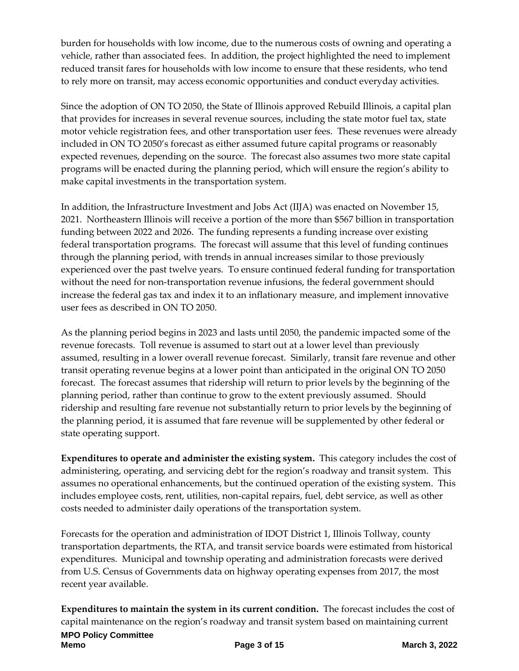burden for households with low income, due to the numerous costs of owning and operating a vehicle, rather than associated fees. In addition, the project highlighted the need to implement reduced transit fares for households with low income to ensure that these residents, who tend to rely more on transit, may access economic opportunities and conduct everyday activities.

Since the adoption of ON TO 2050, the State of Illinois approved Rebuild Illinois, a capital plan that provides for increases in several revenue sources, including the state motor fuel tax, state motor vehicle registration fees, and other transportation user fees. These revenues were already included in ON TO 2050's forecast as either assumed future capital programs or reasonably expected revenues, depending on the source. The forecast also assumes two more state capital programs will be enacted during the planning period, which will ensure the region's ability to make capital investments in the transportation system.

In addition, the Infrastructure Investment and Jobs Act (IIJA) was enacted on November 15, 2021. Northeastern Illinois will receive a portion of the more than \$567 billion in transportation funding between 2022 and 2026. The funding represents a funding increase over existing federal transportation programs. The forecast will assume that this level of funding continues through the planning period, with trends in annual increases similar to those previously experienced over the past twelve years. To ensure continued federal funding for transportation without the need for non-transportation revenue infusions, the federal government should increase the federal gas tax and index it to an inflationary measure, and implement innovative user fees as described in ON TO 2050.

As the planning period begins in 2023 and lasts until 2050, the pandemic impacted some of the revenue forecasts. Toll revenue is assumed to start out at a lower level than previously assumed, resulting in a lower overall revenue forecast. Similarly, transit fare revenue and other transit operating revenue begins at a lower point than anticipated in the original ON TO 2050 forecast. The forecast assumes that ridership will return to prior levels by the beginning of the planning period, rather than continue to grow to the extent previously assumed. Should ridership and resulting fare revenue not substantially return to prior levels by the beginning of the planning period, it is assumed that fare revenue will be supplemented by other federal or state operating support.

**Expenditures to operate and administer the existing system.** This category includes the cost of administering, operating, and servicing debt for the region's roadway and transit system. This assumes no operational enhancements, but the continued operation of the existing system. This includes employee costs, rent, utilities, non-capital repairs, fuel, debt service, as well as other costs needed to administer daily operations of the transportation system.

Forecasts for the operation and administration of IDOT District 1, Illinois Tollway, county transportation departments, the RTA, and transit service boards were estimated from historical expenditures. Municipal and township operating and administration forecasts were derived from U.S. Census of Governments data on highway operating expenses from 2017, the most recent year available.

**Expenditures to maintain the system in its current condition.** The forecast includes the cost of capital maintenance on the region's roadway and transit system based on maintaining current

**MPO Policy Committee Memo Page 3 of 15 March 3, 2022**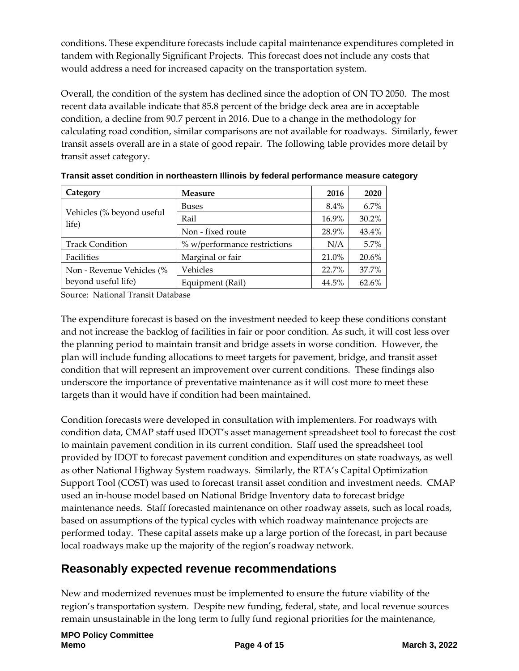conditions. These expenditure forecasts include capital maintenance expenditures completed in tandem with Regionally Significant Projects. This forecast does not include any costs that would address a need for increased capacity on the transportation system.

Overall, the condition of the system has declined since the adoption of ON TO 2050. The most recent data available indicate that 85.8 percent of the bridge deck area are in acceptable condition, a decline from 90.7 percent in 2016. Due to a change in the methodology for calculating road condition, similar comparisons are not available for roadways. Similarly, fewer transit assets overall are in a state of good repair. The following table provides more detail by transit asset category.

| Category<br><b>Measure</b>         |                              | 2016    | 2020  |
|------------------------------------|------------------------------|---------|-------|
|                                    | <b>Buses</b>                 | $8.4\%$ | 6.7%  |
| Vehicles (% beyond useful<br>life) | Rail                         | 16.9%   | 30.2% |
|                                    | Non - fixed route            | 28.9%   | 43.4% |
| <b>Track Condition</b>             | % w/performance restrictions | N/A     | 5.7%  |
| Facilities                         | Marginal or fair             | 21.0%   | 20.6% |
| Non - Revenue Vehicles (%          | Vehicles                     | 22.7%   | 37.7% |
| beyond useful life)                | Equipment (Rail)             | 44.5%   | 62.6% |

**Transit asset condition in northeastern Illinois by federal performance measure category**

Source: National Transit Database

The expenditure forecast is based on the investment needed to keep these conditions constant and not increase the backlog of facilities in fair or poor condition. As such, it will cost less over the planning period to maintain transit and bridge assets in worse condition. However, the plan will include funding allocations to meet targets for pavement, bridge, and transit asset condition that will represent an improvement over current conditions. These findings also underscore the importance of preventative maintenance as it will cost more to meet these targets than it would have if condition had been maintained.

Condition forecasts were developed in consultation with implementers. For roadways with condition data, CMAP staff used IDOT's asset management spreadsheet tool to forecast the cost to maintain pavement condition in its current condition. Staff used the spreadsheet tool provided by IDOT to forecast pavement condition and expenditures on state roadways, as well as other National Highway System roadways. Similarly, the RTA's Capital Optimization Support Tool (COST) was used to forecast transit asset condition and investment needs. CMAP used an in-house model based on National Bridge Inventory data to forecast bridge maintenance needs. Staff forecasted maintenance on other roadway assets, such as local roads, based on assumptions of the typical cycles with which roadway maintenance projects are performed today. These capital assets make up a large portion of the forecast, in part because local roadways make up the majority of the region's roadway network.

# **Reasonably expected revenue recommendations**

New and modernized revenues must be implemented to ensure the future viability of the region's transportation system. Despite new funding, federal, state, and local revenue sources remain unsustainable in the long term to fully fund regional priorities for the maintenance,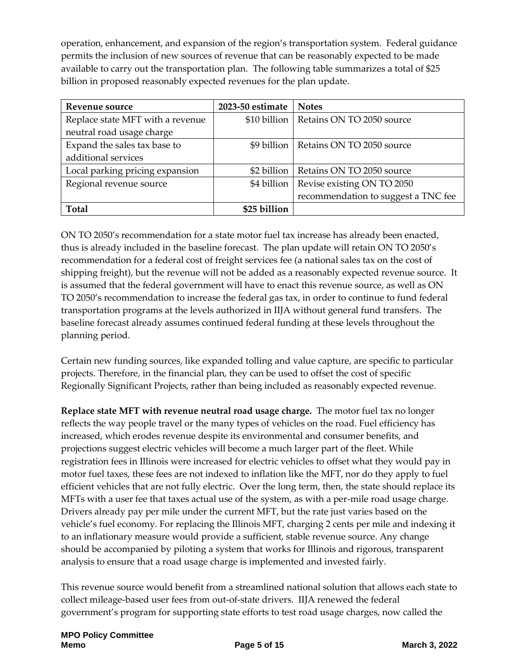operation, enhancement, and expansion of the region's transportation system. Federal guidance permits the inclusion of new sources of revenue that can be reasonably expected to be made available to carry out the transportation plan. The following table summarizes a total of \$25 billion in proposed reasonably expected revenues for the plan update.

| Revenue source                   | 2023-50 estimate | <b>Notes</b>                        |
|----------------------------------|------------------|-------------------------------------|
| Replace state MFT with a revenue | \$10 billion     | Retains ON TO 2050 source           |
| neutral road usage charge        |                  |                                     |
| Expand the sales tax base to     | \$9 billion      | Retains ON TO 2050 source           |
| additional services              |                  |                                     |
| Local parking pricing expansion  | \$2 billion      | Retains ON TO 2050 source           |
| Regional revenue source          | \$4 billion      | Revise existing ON TO 2050          |
|                                  |                  | recommendation to suggest a TNC fee |
| <b>Total</b>                     | \$25 billion     |                                     |

ON TO 2050's recommendation for a state motor fuel tax increase has already been enacted, thus is already included in the baseline forecast. The plan update will retain ON TO 2050's recommendation for a federal cost of freight services fee (a national sales tax on the cost of shipping freight), but the revenue will not be added as a reasonably expected revenue source. It is assumed that the federal government will have to enact this revenue source, as well as ON TO 2050's recommendation to increase the federal gas tax, in order to continue to fund federal transportation programs at the levels authorized in IIJA without general fund transfers. The baseline forecast already assumes continued federal funding at these levels throughout the planning period.

Certain new funding sources, like expanded tolling and value capture, are specific to particular projects. Therefore, in the financial plan, they can be used to offset the cost of specific Regionally Significant Projects, rather than being included as reasonably expected revenue.

**Replace state MFT with revenue neutral road usage charge.** The motor fuel tax no longer reflects the way people travel or the many types of vehicles on the road. Fuel efficiency has increased, which erodes revenue despite its environmental and consumer benefits, and projections suggest electric vehicles will become a much larger part of the fleet. While registration fees in Illinois were increased for electric vehicles to offset what they would pay in motor fuel taxes, these fees are not indexed to inflation like the MFT, nor do they apply to fuel efficient vehicles that are not fully electric. Over the long term, then, the state should replace its MFTs with a user fee that taxes actual use of the system, as with a per-mile road usage charge. Drivers already pay per mile under the current MFT, but the rate just varies based on the vehicle's fuel economy. For replacing the Illinois MFT, charging 2 cents per mile and indexing it to an inflationary measure would provide a sufficient, stable revenue source. Any change should be accompanied by piloting a system that works for Illinois and rigorous, transparent analysis to ensure that a road usage charge is implemented and invested fairly.

This revenue source would benefit from a streamlined national solution that allows each state to collect mileage-based user fees from out-of-state drivers. IIJA renewed the federal government's program for supporting state efforts to test road usage charges, now called the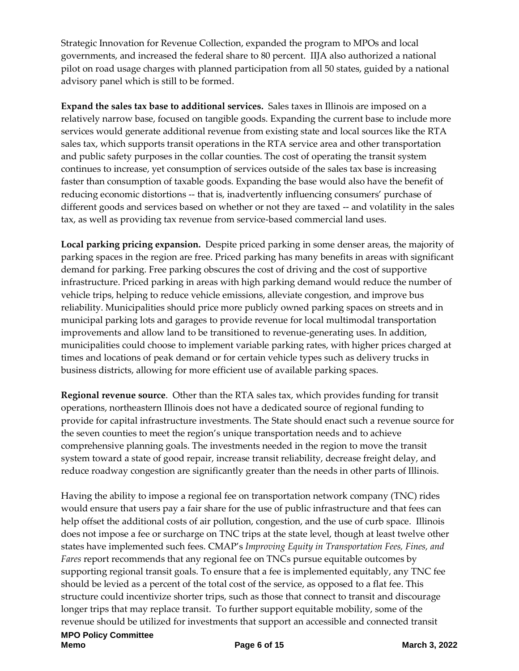Strategic Innovation for Revenue Collection, expanded the program to MPOs and local governments, and increased the federal share to 80 percent. IIJA also authorized a national pilot on road usage charges with planned participation from all 50 states, guided by a national advisory panel which is still to be formed.

**Expand the sales tax base to additional services.** Sales taxes in Illinois are imposed on a relatively narrow base, focused on tangible goods. Expanding the current base to include more services would generate additional revenue from existing state and local sources like the RTA sales tax, which supports transit operations in the RTA service area and other transportation and public safety purposes in the collar counties. The cost of operating the transit system continues to increase, yet consumption of services outside of the sales tax base is increasing faster than consumption of taxable goods. Expanding the base would also have the benefit of reducing economic distortions -- that is, inadvertently influencing consumers' purchase of different goods and services based on whether or not they are taxed -- and volatility in the sales tax, as well as providing tax revenue from service-based commercial land uses.

**Local parking pricing expansion.** Despite priced parking in some denser areas, the majority of parking spaces in the region are free. Priced parking has many benefits in areas with significant demand for parking. Free parking obscures the cost of driving and the cost of supportive infrastructure. Priced parking in areas with high parking demand would reduce the number of vehicle trips, helping to reduce vehicle emissions, alleviate congestion, and improve bus reliability. Municipalities should price more publicly owned parking spaces on streets and in municipal parking lots and garages to provide revenue for local multimodal transportation improvements and allow land to be transitioned to revenue-generating uses. In addition, municipalities could choose to implement variable parking rates, with higher prices charged at times and locations of peak demand or for certain vehicle types such as delivery trucks in business districts, allowing for more efficient use of available parking spaces.

**Regional revenue source**. Other than the RTA sales tax, which provides funding for transit operations, northeastern Illinois does not have a dedicated source of regional funding to provide for capital infrastructure investments. The State should enact such a revenue source for the seven counties to meet the region's unique transportation needs and to achieve comprehensive planning goals. The investments needed in the region to move the transit system toward a state of good repair, increase transit reliability, decrease freight delay, and reduce roadway congestion are significantly greater than the needs in other parts of Illinois.

Having the ability to impose a regional fee on transportation network company (TNC) rides would ensure that users pay a fair share for the use of public infrastructure and that fees can help offset the additional costs of air pollution, congestion, and the use of curb space. Illinois does not impose a fee or surcharge on TNC trips at the state level, though at least twelve other states have implemented such fees. CMAP's *Improving Equity in Transportation Fees, Fines, and Fares* report recommends that any regional fee on TNCs pursue equitable outcomes by supporting regional transit goals. To ensure that a fee is implemented equitably, any TNC fee should be levied as a percent of the total cost of the service, as opposed to a flat fee. This structure could incentivize shorter trips, such as those that connect to transit and discourage longer trips that may replace transit. To further support equitable mobility, some of the revenue should be utilized for investments that support an accessible and connected transit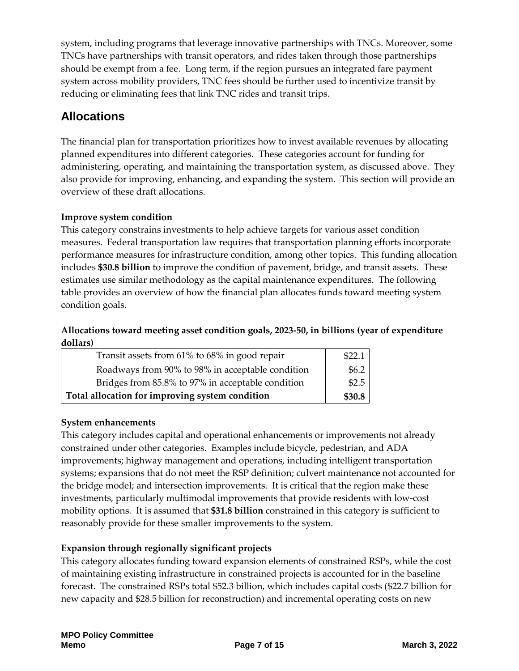system, including programs that leverage innovative partnerships with TNCs. Moreover, some TNCs have partnerships with transit operators, and rides taken through those partnerships should be exempt from a fee. Long term, if the region pursues an integrated fare payment system across mobility providers, TNC fees should be further used to incentivize transit by reducing or eliminating fees that link TNC rides and transit trips.

# **Allocations**

The financial plan for transportation prioritizes how to invest available revenues by allocating planned expenditures into different categories. These categories account for funding for administering, operating, and maintaining the transportation system, as discussed above. They also provide for improving, enhancing, and expanding the system. This section will provide an overview of these draft allocations.

#### **Improve system condition**

This category constrains investments to help achieve targets for various asset condition measures. Federal transportation law requires that transportation planning efforts incorporate performance measures for infrastructure condition, among other topics. This funding allocation includes **\$30.8 billion** to improve the condition of pavement, bridge, and transit assets. These estimates use similar methodology as the capital maintenance expenditures. The following table provides an overview of how the financial plan allocates funds toward meeting system condition goals.

#### **Allocations toward meeting asset condition goals, 2023-50, in billions (year of expenditure dollars)**

| Transit assets from 61% to 68% in good repair     | \$22. |
|---------------------------------------------------|-------|
| Roadways from 90% to 98% in acceptable condition  | \$6.2 |
| Bridges from 85.8% to 97% in acceptable condition | \$2.5 |
| Total allocation for improving system condition   |       |

#### **System enhancements**

This category includes capital and operational enhancements or improvements not already constrained under other categories. Examples include bicycle, pedestrian, and ADA improvements; highway management and operations, including intelligent transportation systems; expansions that do not meet the RSP definition; culvert maintenance not accounted for the bridge model; and intersection improvements. It is critical that the region make these investments, particularly multimodal improvements that provide residents with low-cost mobility options. It is assumed that **\$31.8 billion** constrained in this category is sufficient to reasonably provide for these smaller improvements to the system.

#### **Expansion through regionally significant projects**

This category allocates funding toward expansion elements of constrained RSPs, while the cost of maintaining existing infrastructure in constrained projects is accounted for in the baseline forecast. The constrained RSPs total \$52.3 billion, which includes capital costs (\$22.7 billion for new capacity and \$28.5 billion for reconstruction) and incremental operating costs on new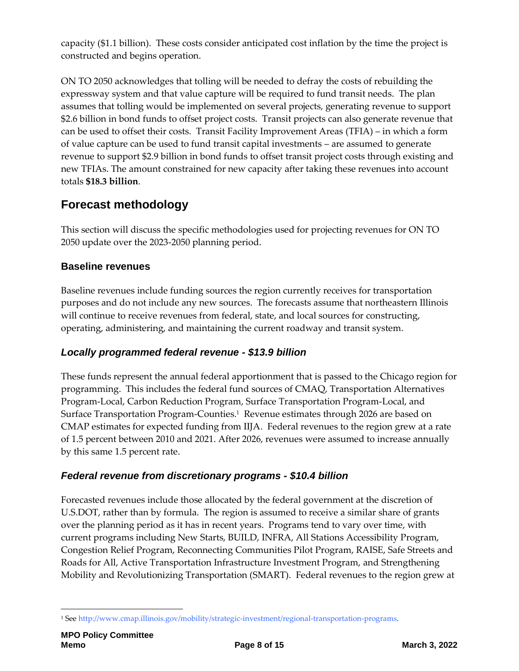capacity (\$1.1 billion). These costs consider anticipated cost inflation by the time the project is constructed and begins operation.

ON TO 2050 acknowledges that tolling will be needed to defray the costs of rebuilding the expressway system and that value capture will be required to fund transit needs. The plan assumes that tolling would be implemented on several projects, generating revenue to support \$2.6 billion in bond funds to offset project costs. Transit projects can also generate revenue that can be used to offset their costs. Transit Facility Improvement Areas (TFIA) – in which a form of value capture can be used to fund transit capital investments – are assumed to generate revenue to support \$2.9 billion in bond funds to offset transit project costs through existing and new TFIAs. The amount constrained for new capacity after taking these revenues into account totals **\$18.3 billion**.

# **Forecast methodology**

This section will discuss the specific methodologies used for projecting revenues for ON TO 2050 update over the 2023-2050 planning period.

#### **Baseline revenues**

Baseline revenues include funding sources the region currently receives for transportation purposes and do not include any new sources. The forecasts assume that northeastern Illinois will continue to receive revenues from federal, state, and local sources for constructing, operating, administering, and maintaining the current roadway and transit system.

## *Locally programmed federal revenue - \$13.9 billion*

These funds represent the annual federal apportionment that is passed to the Chicago region for programming. This includes the federal fund sources of CMAQ, Transportation Alternatives Program-Local, Carbon Reduction Program, Surface Transportation Program-Local, and Surface Transportation Program-Counties.<sup>1</sup> Revenue estimates through 2026 are based on CMAP estimates for expected funding from IIJA. Federal revenues to the region grew at a rate of 1.5 percent between 2010 and 2021. After 2026, revenues were assumed to increase annually by this same 1.5 percent rate.

#### *Federal revenue from discretionary programs - \$10.4 billion*

Forecasted revenues include those allocated by the federal government at the discretion of U.S.DOT, rather than by formula. The region is assumed to receive a similar share of grants over the planning period as it has in recent years. Programs tend to vary over time, with current programs including New Starts, BUILD, INFRA, All Stations Accessibility Program, Congestion Relief Program, Reconnecting Communities Pilot Program, RAISE, Safe Streets and Roads for All, Active Transportation Infrastructure Investment Program, and Strengthening Mobility and Revolutionizing Transportation (SMART). Federal revenues to the region grew at

<sup>1</sup> <sup>1</sup> Se[e http://www.cmap.illinois.gov/mobility/strategic-investment/regional-transportation-programs.](http://www.cmap.illinois.gov/mobility/strategic-investment/regional-transportation-programs)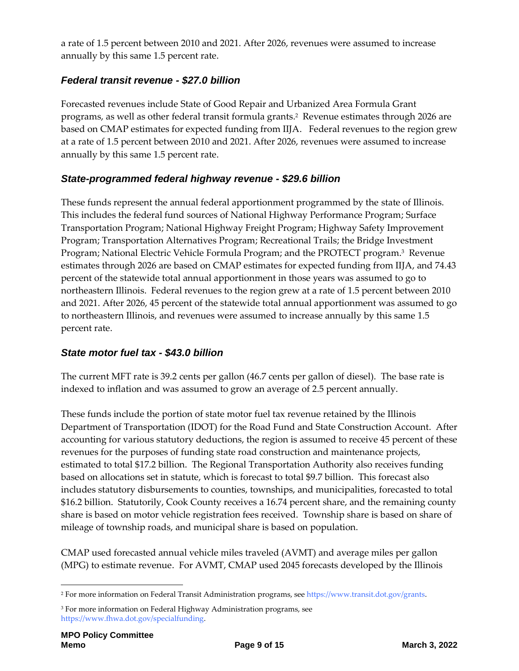a rate of 1.5 percent between 2010 and 2021. After 2026, revenues were assumed to increase annually by this same 1.5 percent rate.

## *Federal transit revenue - \$27.0 billion*

Forecasted revenues include State of Good Repair and Urbanized Area Formula Grant programs, as well as other federal transit formula grants.<sup>2</sup> Revenue estimates through 2026 are based on CMAP estimates for expected funding from IIJA. Federal revenues to the region grew at a rate of 1.5 percent between 2010 and 2021. After 2026, revenues were assumed to increase annually by this same 1.5 percent rate.

## *State-programmed federal highway revenue - \$29.6 billion*

These funds represent the annual federal apportionment programmed by the state of Illinois. This includes the federal fund sources of National Highway Performance Program; Surface Transportation Program; National Highway Freight Program; Highway Safety Improvement Program; Transportation Alternatives Program; Recreational Trails; the Bridge Investment Program; National Electric Vehicle Formula Program; and the PROTECT program. 3 Revenue estimates through 2026 are based on CMAP estimates for expected funding from IIJA, and 74.43 percent of the statewide total annual apportionment in those years was assumed to go to northeastern Illinois. Federal revenues to the region grew at a rate of 1.5 percent between 2010 and 2021. After 2026, 45 percent of the statewide total annual apportionment was assumed to go to northeastern Illinois, and revenues were assumed to increase annually by this same 1.5 percent rate.

## *State motor fuel tax - \$43.0 billion*

The current MFT rate is 39.2 cents per gallon (46.7 cents per gallon of diesel). The base rate is indexed to inflation and was assumed to grow an average of 2.5 percent annually.

These funds include the portion of state motor fuel tax revenue retained by the Illinois Department of Transportation (IDOT) for the Road Fund and State Construction Account. After accounting for various statutory deductions, the region is assumed to receive 45 percent of these revenues for the purposes of funding state road construction and maintenance projects, estimated to total \$17.2 billion. The Regional Transportation Authority also receives funding based on allocations set in statute, which is forecast to total \$9.7 billion. This forecast also includes statutory disbursements to counties, townships, and municipalities, forecasted to total \$16.2 billion. Statutorily, Cook County receives a 16.74 percent share, and the remaining county share is based on motor vehicle registration fees received. Township share is based on share of mileage of township roads, and municipal share is based on population.

CMAP used forecasted annual vehicle miles traveled (AVMT) and average miles per gallon (MPG) to estimate revenue. For AVMT, CMAP used 2045 forecasts developed by the Illinois

1

<sup>2</sup> For more information on Federal Transit Administration programs, see [https://www.transit.dot.gov/grants.](https://www.transit.dot.gov/grants) 

<sup>&</sup>lt;sup>3</sup> For more information on Federal Highway Administration programs, see [https://www.fhwa.dot.gov/specialfunding.](https://www.fhwa.dot.gov/specialfunding)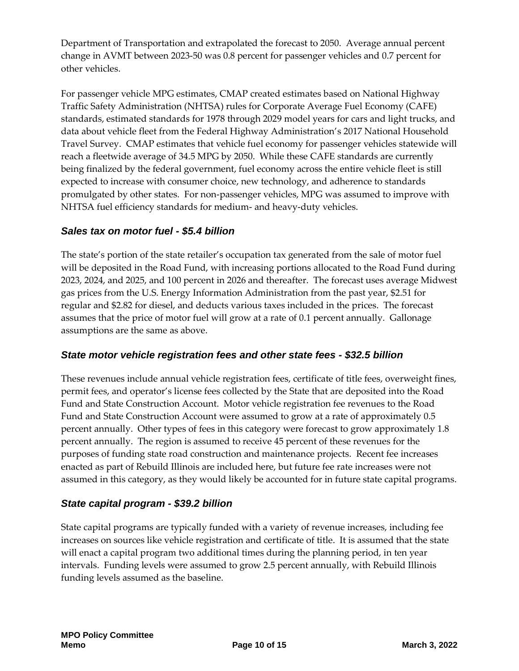Department of Transportation and extrapolated the forecast to 2050. Average annual percent change in AVMT between 2023-50 was 0.8 percent for passenger vehicles and 0.7 percent for other vehicles.

For passenger vehicle MPG estimates, CMAP created estimates based on National Highway Traffic Safety Administration (NHTSA) rules for Corporate Average Fuel Economy (CAFE) standards, estimated standards for 1978 through 2029 model years for cars and light trucks, and data about vehicle fleet from the Federal Highway Administration's 2017 National Household Travel Survey. CMAP estimates that vehicle fuel economy for passenger vehicles statewide will reach a fleetwide average of 34.5 MPG by 2050. While these CAFE standards are currently being finalized by the federal government, fuel economy across the entire vehicle fleet is still expected to increase with consumer choice, new technology, and adherence to standards promulgated by other states. For non-passenger vehicles, MPG was assumed to improve with NHTSA fuel efficiency standards for medium- and heavy-duty vehicles.

## *Sales tax on motor fuel - \$5.4 billion*

The state's portion of the state retailer's occupation tax generated from the sale of motor fuel will be deposited in the Road Fund, with increasing portions allocated to the Road Fund during 2023, 2024, and 2025, and 100 percent in 2026 and thereafter. The forecast uses average Midwest gas prices from the U.S. Energy Information Administration from the past year, \$2.51 for regular and \$2.82 for diesel, and deducts various taxes included in the prices. The forecast assumes that the price of motor fuel will grow at a rate of 0.1 percent annually. Gallonage assumptions are the same as above.

#### *State motor vehicle registration fees and other state fees - \$32.5 billion*

These revenues include annual vehicle registration fees, certificate of title fees, overweight fines, permit fees, and operator's license fees collected by the State that are deposited into the Road Fund and State Construction Account. Motor vehicle registration fee revenues to the Road Fund and State Construction Account were assumed to grow at a rate of approximately 0.5 percent annually. Other types of fees in this category were forecast to grow approximately 1.8 percent annually. The region is assumed to receive 45 percent of these revenues for the purposes of funding state road construction and maintenance projects. Recent fee increases enacted as part of Rebuild Illinois are included here, but future fee rate increases were not assumed in this category, as they would likely be accounted for in future state capital programs.

## *State capital program - \$39.2 billion*

State capital programs are typically funded with a variety of revenue increases, including fee increases on sources like vehicle registration and certificate of title. It is assumed that the state will enact a capital program two additional times during the planning period, in ten year intervals. Funding levels were assumed to grow 2.5 percent annually, with Rebuild Illinois funding levels assumed as the baseline.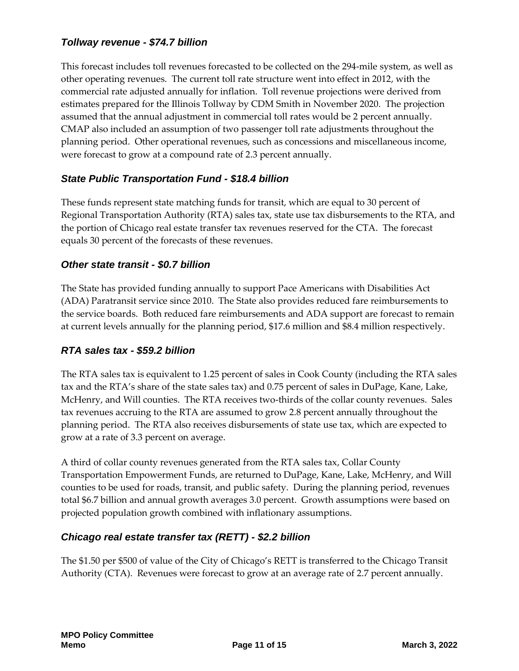### *Tollway revenue - \$74.7 billion*

This forecast includes toll revenues forecasted to be collected on the 294-mile system, as well as other operating revenues. The current toll rate structure went into effect in 2012, with the commercial rate adjusted annually for inflation. Toll revenue projections were derived from estimates prepared for the Illinois Tollway by CDM Smith in November 2020. The projection assumed that the annual adjustment in commercial toll rates would be 2 percent annually. CMAP also included an assumption of two passenger toll rate adjustments throughout the planning period. Other operational revenues, such as concessions and miscellaneous income, were forecast to grow at a compound rate of 2.3 percent annually.

### *State Public Transportation Fund - \$18.4 billion*

These funds represent state matching funds for transit, which are equal to 30 percent of Regional Transportation Authority (RTA) sales tax, state use tax disbursements to the RTA, and the portion of Chicago real estate transfer tax revenues reserved for the CTA. The forecast equals 30 percent of the forecasts of these revenues.

#### *Other state transit - \$0.7 billion*

The State has provided funding annually to support Pace Americans with Disabilities Act (ADA) Paratransit service since 2010. The State also provides reduced fare reimbursements to the service boards. Both reduced fare reimbursements and ADA support are forecast to remain at current levels annually for the planning period, \$17.6 million and \$8.4 million respectively.

#### *RTA sales tax - \$59.2 billion*

The RTA sales tax is equivalent to 1.25 percent of sales in Cook County (including the RTA sales tax and the RTA's share of the state sales tax) and 0.75 percent of sales in DuPage, Kane, Lake, McHenry, and Will counties. The RTA receives two-thirds of the collar county revenues. Sales tax revenues accruing to the RTA are assumed to grow 2.8 percent annually throughout the planning period. The RTA also receives disbursements of state use tax, which are expected to grow at a rate of 3.3 percent on average.

A third of collar county revenues generated from the RTA sales tax, Collar County Transportation Empowerment Funds, are returned to DuPage, Kane, Lake, McHenry, and Will counties to be used for roads, transit, and public safety. During the planning period, revenues total \$6.7 billion and annual growth averages 3.0 percent. Growth assumptions were based on projected population growth combined with inflationary assumptions.

#### *Chicago real estate transfer tax (RETT) - \$2.2 billion*

The \$1.50 per \$500 of value of the City of Chicago's RETT is transferred to the Chicago Transit Authority (CTA). Revenues were forecast to grow at an average rate of 2.7 percent annually.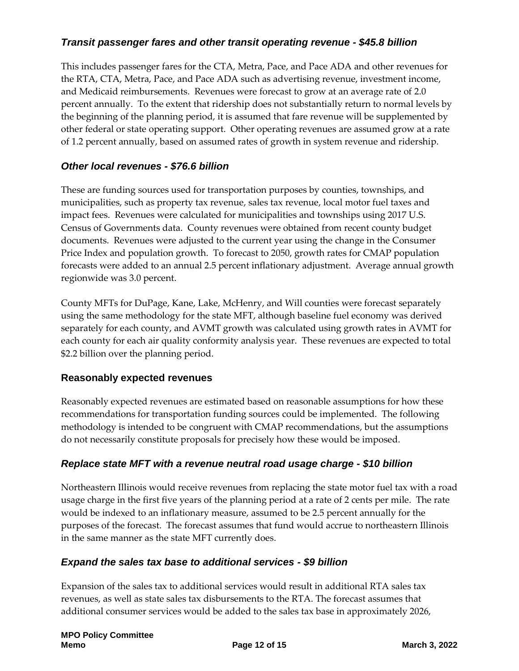## *Transit passenger fares and other transit operating revenue - \$45.8 billion*

This includes passenger fares for the CTA, Metra, Pace, and Pace ADA and other revenues for the RTA, CTA, Metra, Pace, and Pace ADA such as advertising revenue, investment income, and Medicaid reimbursements. Revenues were forecast to grow at an average rate of 2.0 percent annually. To the extent that ridership does not substantially return to normal levels by the beginning of the planning period, it is assumed that fare revenue will be supplemented by other federal or state operating support. Other operating revenues are assumed grow at a rate of 1.2 percent annually, based on assumed rates of growth in system revenue and ridership.

### *Other local revenues - \$76.6 billion*

These are funding sources used for transportation purposes by counties, townships, and municipalities, such as property tax revenue, sales tax revenue, local motor fuel taxes and impact fees. Revenues were calculated for municipalities and townships using 2017 U.S. Census of Governments data. County revenues were obtained from recent county budget documents. Revenues were adjusted to the current year using the change in the Consumer Price Index and population growth. To forecast to 2050, growth rates for CMAP population forecasts were added to an annual 2.5 percent inflationary adjustment. Average annual growth regionwide was 3.0 percent.

County MFTs for DuPage, Kane, Lake, McHenry, and Will counties were forecast separately using the same methodology for the state MFT, although baseline fuel economy was derived separately for each county, and AVMT growth was calculated using growth rates in AVMT for each county for each air quality conformity analysis year. These revenues are expected to total \$2.2 billion over the planning period.

#### **Reasonably expected revenues**

Reasonably expected revenues are estimated based on reasonable assumptions for how these recommendations for transportation funding sources could be implemented. The following methodology is intended to be congruent with CMAP recommendations, but the assumptions do not necessarily constitute proposals for precisely how these would be imposed.

## *Replace state MFT with a revenue neutral road usage charge - \$10 billion*

Northeastern Illinois would receive revenues from replacing the state motor fuel tax with a road usage charge in the first five years of the planning period at a rate of 2 cents per mile. The rate would be indexed to an inflationary measure, assumed to be 2.5 percent annually for the purposes of the forecast. The forecast assumes that fund would accrue to northeastern Illinois in the same manner as the state MFT currently does.

#### *Expand the sales tax base to additional services - \$9 billion*

Expansion of the sales tax to additional services would result in additional RTA sales tax revenues, as well as state sales tax disbursements to the RTA. The forecast assumes that additional consumer services would be added to the sales tax base in approximately 2026,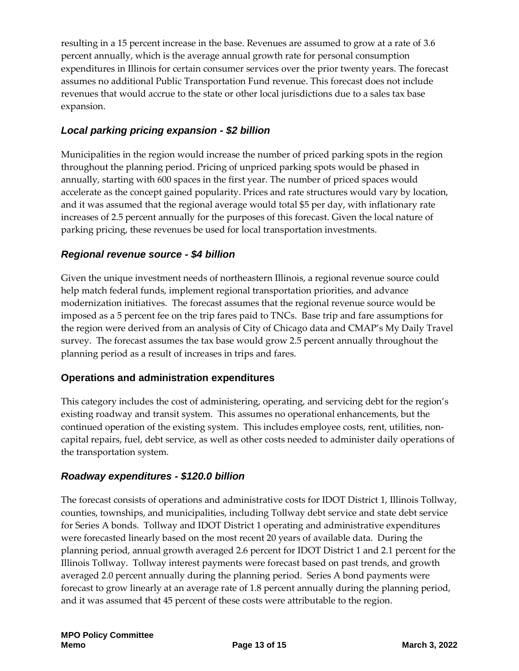resulting in a 15 percent increase in the base. Revenues are assumed to grow at a rate of 3.6 percent annually, which is the average annual growth rate for personal consumption expenditures in Illinois for certain consumer services over the prior twenty years. The forecast assumes no additional Public Transportation Fund revenue. This forecast does not include revenues that would accrue to the state or other local jurisdictions due to a sales tax base expansion.

### *Local parking pricing expansion - \$2 billion*

Municipalities in the region would increase the number of priced parking spots in the region throughout the planning period. Pricing of unpriced parking spots would be phased in annually, starting with 600 spaces in the first year. The number of priced spaces would accelerate as the concept gained popularity. Prices and rate structures would vary by location, and it was assumed that the regional average would total \$5 per day, with inflationary rate increases of 2.5 percent annually for the purposes of this forecast. Given the local nature of parking pricing, these revenues be used for local transportation investments.

#### *Regional revenue source - \$4 billion*

Given the unique investment needs of northeastern Illinois, a regional revenue source could help match federal funds, implement regional transportation priorities, and advance modernization initiatives. The forecast assumes that the regional revenue source would be imposed as a 5 percent fee on the trip fares paid to TNCs. Base trip and fare assumptions for the region were derived from an analysis of City of Chicago data and CMAP's My Daily Travel survey. The forecast assumes the tax base would grow 2.5 percent annually throughout the planning period as a result of increases in trips and fares.

#### **Operations and administration expenditures**

This category includes the cost of administering, operating, and servicing debt for the region's existing roadway and transit system. This assumes no operational enhancements, but the continued operation of the existing system. This includes employee costs, rent, utilities, noncapital repairs, fuel, debt service, as well as other costs needed to administer daily operations of the transportation system.

#### *Roadway expenditures - \$120.0 billion*

The forecast consists of operations and administrative costs for IDOT District 1, Illinois Tollway, counties, townships, and municipalities, including Tollway debt service and state debt service for Series A bonds. Tollway and IDOT District 1 operating and administrative expenditures were forecasted linearly based on the most recent 20 years of available data. During the planning period, annual growth averaged 2.6 percent for IDOT District 1 and 2.1 percent for the Illinois Tollway. Tollway interest payments were forecast based on past trends, and growth averaged 2.0 percent annually during the planning period. Series A bond payments were forecast to grow linearly at an average rate of 1.8 percent annually during the planning period, and it was assumed that 45 percent of these costs were attributable to the region.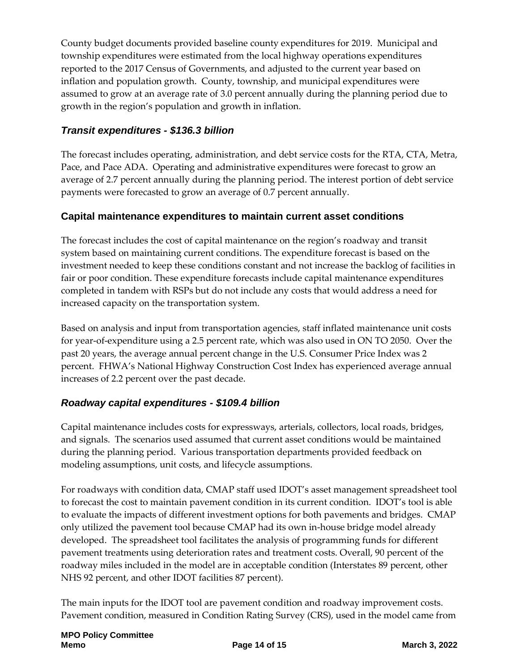County budget documents provided baseline county expenditures for 2019. Municipal and township expenditures were estimated from the local highway operations expenditures reported to the 2017 Census of Governments, and adjusted to the current year based on inflation and population growth. County, township, and municipal expenditures were assumed to grow at an average rate of 3.0 percent annually during the planning period due to growth in the region's population and growth in inflation.

## *Transit expenditures - \$136.3 billion*

The forecast includes operating, administration, and debt service costs for the RTA, CTA, Metra, Pace, and Pace ADA. Operating and administrative expenditures were forecast to grow an average of 2.7 percent annually during the planning period. The interest portion of debt service payments were forecasted to grow an average of 0.7 percent annually.

## **Capital maintenance expenditures to maintain current asset conditions**

The forecast includes the cost of capital maintenance on the region's roadway and transit system based on maintaining current conditions. The expenditure forecast is based on the investment needed to keep these conditions constant and not increase the backlog of facilities in fair or poor condition. These expenditure forecasts include capital maintenance expenditures completed in tandem with RSPs but do not include any costs that would address a need for increased capacity on the transportation system.

Based on analysis and input from transportation agencies, staff inflated maintenance unit costs for year-of-expenditure using a 2.5 percent rate, which was also used in ON TO 2050. Over the past 20 years, the average annual percent change in the U.S. Consumer Price Index was 2 percent. FHWA's National Highway Construction Cost Index has experienced average annual increases of 2.2 percent over the past decade.

## *Roadway capital expenditures - \$109.4 billion*

Capital maintenance includes costs for expressways, arterials, collectors, local roads, bridges, and signals. The scenarios used assumed that current asset conditions would be maintained during the planning period. Various transportation departments provided feedback on modeling assumptions, unit costs, and lifecycle assumptions.

For roadways with condition data, CMAP staff used IDOT's asset management spreadsheet tool to forecast the cost to maintain pavement condition in its current condition. IDOT's tool is able to evaluate the impacts of different investment options for both pavements and bridges. CMAP only utilized the pavement tool because CMAP had its own in-house bridge model already developed. The spreadsheet tool facilitates the analysis of programming funds for different pavement treatments using deterioration rates and treatment costs. Overall, 90 percent of the roadway miles included in the model are in acceptable condition (Interstates 89 percent, other NHS 92 percent, and other IDOT facilities 87 percent).

The main inputs for the IDOT tool are pavement condition and roadway improvement costs. Pavement condition, measured in Condition Rating Survey (CRS), used in the model came from